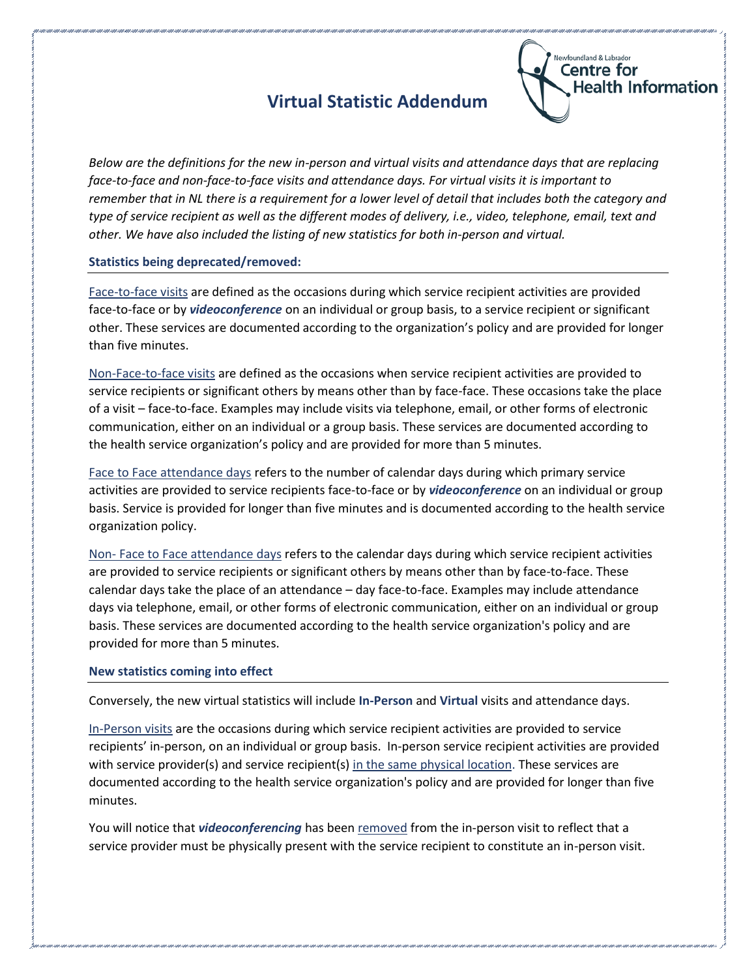## **Virtual Statistic Addendum**



*Below are the definitions for the new in-person and virtual visits and attendance days that are replacing face-to-face and non-face-to-face visits and attendance days. For virtual visits it is important to remember that in NL there is a requirement for a lower level of detail that includes both the category and type of service recipient as well as the different modes of delivery, i.e., video, telephone, email, text and other. We have also included the listing of new statistics for both in-person and virtual.* 

## **Statistics being deprecated/removed:**

Face-to-face visits are defined as the occasions during which service recipient activities are provided face-to-face or by *videoconference* on an individual or group basis, to a service recipient or significant other. These services are documented according to the organization's policy and are provided for longer than five minutes.

Non-Face-to-face visits are defined as the occasions when service recipient activities are provided to service recipients or significant others by means other than by face-face. These occasions take the place of a visit – face-to-face. Examples may include visits via telephone, email, or other forms of electronic communication, either on an individual or a group basis. These services are documented according to the health service organization's policy and are provided for more than 5 minutes.

Face to Face attendance days refers to the number of calendar days during which primary service activities are provided to service recipients face-to-face or by *videoconference* on an individual or group basis. Service is provided for longer than five minutes and is documented according to the health service organization policy.

Non- Face to Face attendance days refers to the calendar days during which service recipient activities are provided to service recipients or significant others by means other than by face-to-face. These calendar days take the place of an attendance – day face-to-face. Examples may include attendance days via telephone, email, or other forms of electronic communication, either on an individual or group basis. These services are documented according to the health service organization's policy and are provided for more than 5 minutes.

## **New statistics coming into effect**

Conversely, the new virtual statistics will include **In-Person** and **Virtual** visits and attendance days.

In-Person visits are the occasions during which service recipient activities are provided to service recipients' in-person, on an individual or group basis. In-person service recipient activities are provided with service provider(s) and service recipient(s) in the same physical location. These services are documented according to the health service organization's policy and are provided for longer than five minutes.

You will notice that *videoconferencing* has been removed from the in-person visit to reflect that a service provider must be physically present with the service recipient to constitute an in-person visit.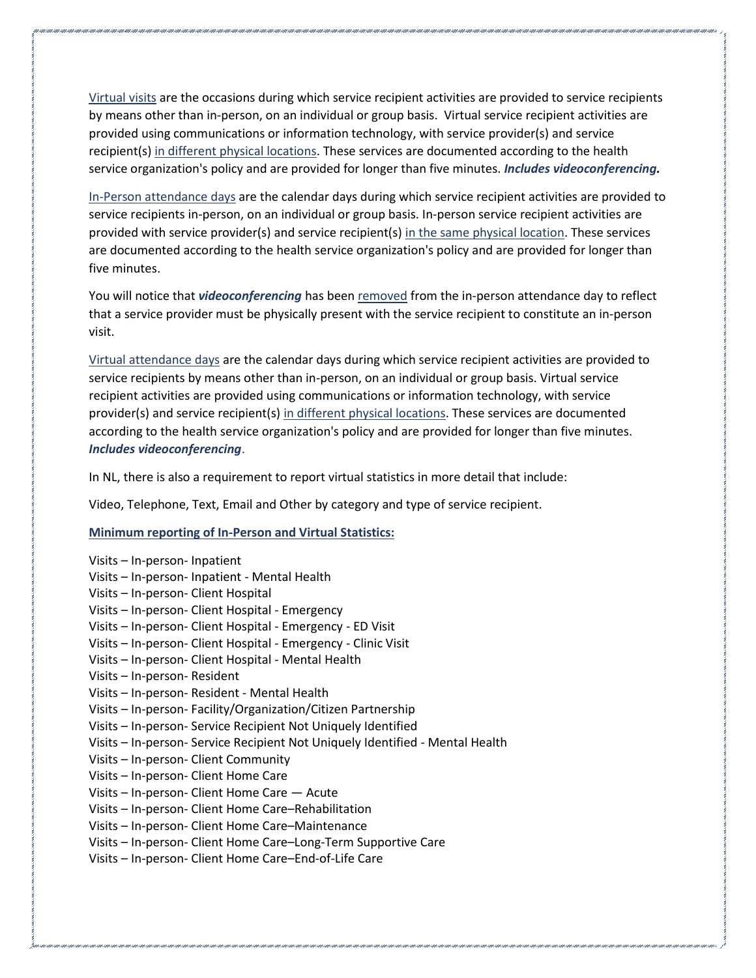Virtual visits are the occasions during which service recipient activities are provided to service recipients by means other than in-person, on an individual or group basis. Virtual service recipient activities are provided using communications or information technology, with service provider(s) and service recipient(s) in different physical locations. These services are documented according to the health service organization's policy and are provided for longer than five minutes. *Includes videoconferencing.* 

In-Person attendance days are the calendar days during which service recipient activities are provided to service recipients in-person, on an individual or group basis. In-person service recipient activities are provided with service provider(s) and service recipient(s) in the same physical location. These services are documented according to the health service organization's policy and are provided for longer than five minutes.

You will notice that *videoconferencing* has been removed from the in-person attendance day to reflect that a service provider must be physically present with the service recipient to constitute an in-person visit.

Virtual attendance days are the calendar days during which service recipient activities are provided to service recipients by means other than in-person, on an individual or group basis. Virtual service recipient activities are provided using communications or information technology, with service provider(s) and service recipient(s) in different physical locations. These services are documented according to the health service organization's policy and are provided for longer than five minutes. *Includes videoconferencing*.

In NL, there is also a requirement to report virtual statistics in more detail that include:

Video, Telephone, Text, Email and Other by category and type of service recipient.

## **Minimum reporting of In-Person and Virtual Statistics:**

Visits – In-person- Inpatient Visits – In-person- Inpatient - Mental Health Visits – In-person- Client Hospital Visits – In-person- Client Hospital - Emergency Visits – In-person- Client Hospital - Emergency - ED Visit Visits – In-person- Client Hospital - Emergency - Clinic Visit Visits – In-person- Client Hospital - Mental Health Visits – In-person- Resident Visits – In-person- Resident - Mental Health Visits – In-person- Facility/Organization/Citizen Partnership Visits – In-person- Service Recipient Not Uniquely Identified Visits – In-person- Service Recipient Not Uniquely Identified - Mental Health Visits – In-person- Client Community Visits – In-person- Client Home Care Visits – In-person- Client Home Care — Acute Visits – In-person- Client Home Care–Rehabilitation Visits – In-person- Client Home Care–Maintenance Visits – In-person- Client Home Care–Long-Term Supportive Care Visits – In-person- Client Home Care–End-of-Life Care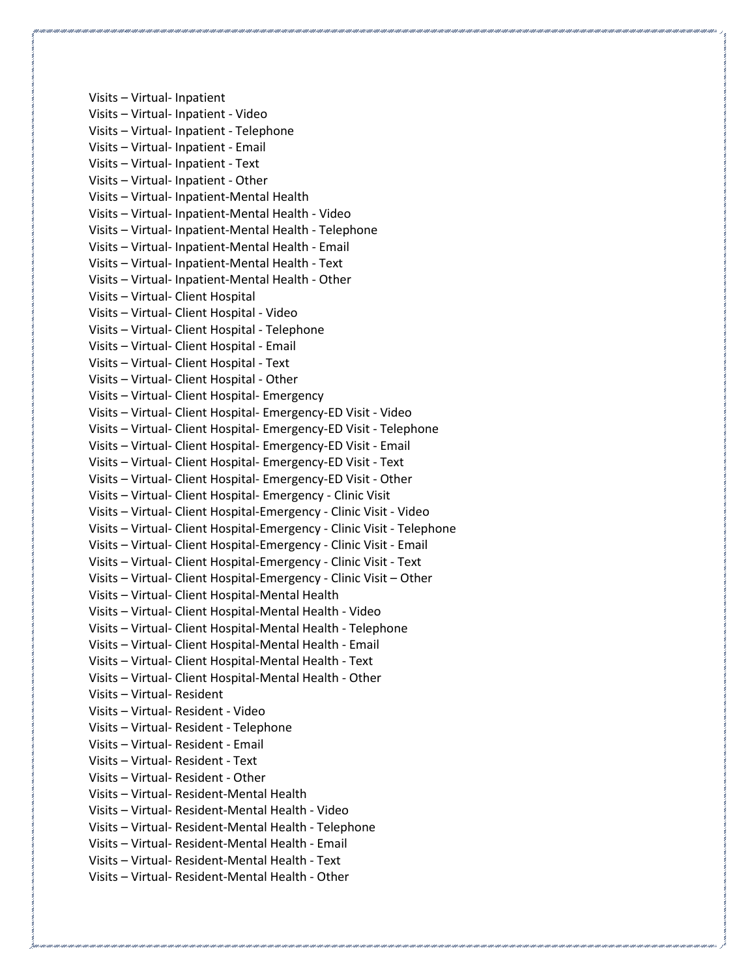Visits – Virtual- Inpatient Visits – Virtual- Inpatient - Video Visits – Virtual- Inpatient - Telephone Visits – Virtual- Inpatient - Email Visits – Virtual- Inpatient - Text Visits – Virtual- Inpatient - Other Visits – Virtual- Inpatient-Mental Health Visits – Virtual- Inpatient-Mental Health - Video Visits – Virtual- Inpatient-Mental Health - Telephone Visits – Virtual- Inpatient-Mental Health - Email Visits – Virtual- Inpatient-Mental Health - Text Visits – Virtual- Inpatient-Mental Health - Other Visits – Virtual- Client Hospital Visits – Virtual- Client Hospital - Video Visits – Virtual- Client Hospital - Telephone Visits – Virtual- Client Hospital - Email Visits – Virtual- Client Hospital - Text Visits – Virtual- Client Hospital - Other Visits – Virtual- Client Hospital- Emergency Visits – Virtual- Client Hospital- Emergency-ED Visit - Video Visits – Virtual- Client Hospital- Emergency-ED Visit - Telephone Visits – Virtual- Client Hospital- Emergency-ED Visit - Email Visits – Virtual- Client Hospital- Emergency-ED Visit - Text Visits – Virtual- Client Hospital- Emergency-ED Visit - Other Visits – Virtual- Client Hospital- Emergency - Clinic Visit Visits – Virtual- Client Hospital-Emergency - Clinic Visit - Video Visits – Virtual- Client Hospital-Emergency - Clinic Visit - Telephone Visits – Virtual- Client Hospital-Emergency - Clinic Visit - Email Visits – Virtual- Client Hospital-Emergency - Clinic Visit - Text Visits – Virtual- Client Hospital-Emergency - Clinic Visit – Other Visits – Virtual- Client Hospital-Mental Health Visits – Virtual- Client Hospital-Mental Health - Video Visits – Virtual- Client Hospital-Mental Health - Telephone Visits – Virtual- Client Hospital-Mental Health - Email Visits – Virtual- Client Hospital-Mental Health - Text Visits – Virtual- Client Hospital-Mental Health - Other Visits – Virtual- Resident Visits – Virtual- Resident - Video Visits – Virtual- Resident - Telephone Visits – Virtual- Resident - Email Visits – Virtual- Resident - Text Visits – Virtual- Resident - Other Visits – Virtual- Resident-Mental Health Visits – Virtual- Resident-Mental Health - Video Visits – Virtual- Resident-Mental Health - Telephone Visits – Virtual- Resident-Mental Health - Email Visits – Virtual- Resident-Mental Health - Text Visits – Virtual- Resident-Mental Health - Other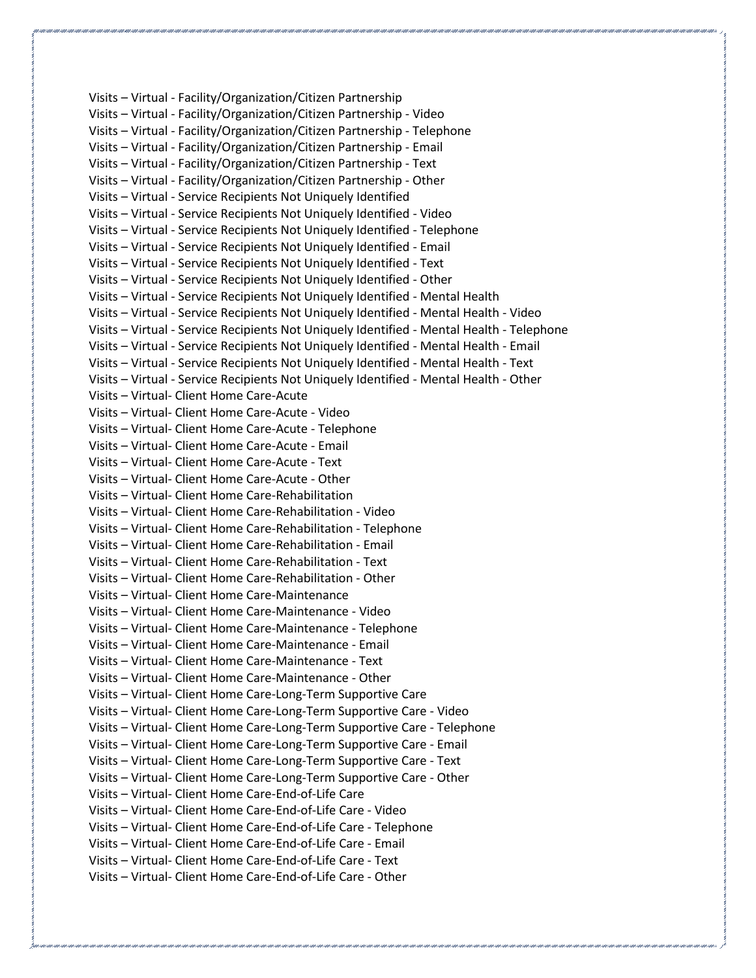Visits – Virtual - Facility/Organization/Citizen Partnership Visits – Virtual - Facility/Organization/Citizen Partnership - Video Visits – Virtual - Facility/Organization/Citizen Partnership - Telephone Visits – Virtual - Facility/Organization/Citizen Partnership - Email Visits – Virtual - Facility/Organization/Citizen Partnership - Text Visits – Virtual - Facility/Organization/Citizen Partnership - Other Visits – Virtual - Service Recipients Not Uniquely Identified Visits – Virtual - Service Recipients Not Uniquely Identified - Video Visits – Virtual - Service Recipients Not Uniquely Identified - Telephone Visits – Virtual - Service Recipients Not Uniquely Identified - Email Visits – Virtual - Service Recipients Not Uniquely Identified - Text Visits – Virtual - Service Recipients Not Uniquely Identified - Other Visits – Virtual - Service Recipients Not Uniquely Identified - Mental Health Visits – Virtual - Service Recipients Not Uniquely Identified - Mental Health - Video Visits – Virtual - Service Recipients Not Uniquely Identified - Mental Health - Telephone Visits – Virtual - Service Recipients Not Uniquely Identified - Mental Health - Email Visits – Virtual - Service Recipients Not Uniquely Identified - Mental Health - Text Visits – Virtual - Service Recipients Not Uniquely Identified - Mental Health - Other Visits – Virtual- Client Home Care-Acute Visits – Virtual- Client Home Care-Acute - Video Visits – Virtual- Client Home Care-Acute - Telephone Visits – Virtual- Client Home Care-Acute - Email Visits – Virtual- Client Home Care-Acute - Text Visits – Virtual- Client Home Care-Acute - Other Visits – Virtual- Client Home Care-Rehabilitation Visits – Virtual- Client Home Care-Rehabilitation - Video Visits – Virtual- Client Home Care-Rehabilitation - Telephone Visits – Virtual- Client Home Care-Rehabilitation - Email Visits – Virtual- Client Home Care-Rehabilitation - Text Visits – Virtual- Client Home Care-Rehabilitation - Other Visits – Virtual- Client Home Care-Maintenance Visits – Virtual- Client Home Care-Maintenance - Video Visits – Virtual- Client Home Care-Maintenance - Telephone Visits – Virtual- Client Home Care-Maintenance - Email Visits – Virtual- Client Home Care-Maintenance - Text Visits – Virtual- Client Home Care-Maintenance - Other Visits – Virtual- Client Home Care-Long-Term Supportive Care Visits – Virtual- Client Home Care-Long-Term Supportive Care - Video Visits – Virtual- Client Home Care-Long-Term Supportive Care - Telephone Visits – Virtual- Client Home Care-Long-Term Supportive Care - Email Visits – Virtual- Client Home Care-Long-Term Supportive Care - Text Visits – Virtual- Client Home Care-Long-Term Supportive Care - Other Visits – Virtual- Client Home Care-End-of-Life Care Visits – Virtual- Client Home Care-End-of-Life Care - Video Visits – Virtual- Client Home Care-End-of-Life Care - Telephone Visits – Virtual- Client Home Care-End-of-Life Care - Email Visits – Virtual- Client Home Care-End-of-Life Care - Text Visits – Virtual- Client Home Care-End-of-Life Care - Other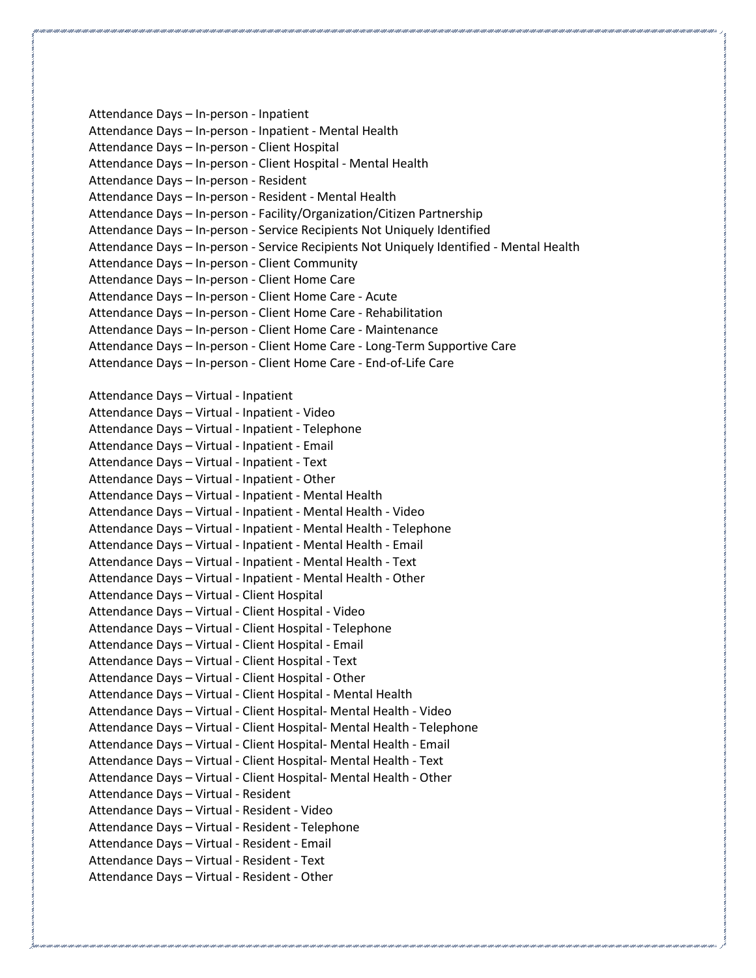Attendance Days – In-person - Inpatient Attendance Days – In-person - Inpatient - Mental Health Attendance Days – In-person - Client Hospital Attendance Days – In-person - Client Hospital - Mental Health Attendance Days – In-person - Resident Attendance Days – In-person - Resident - Mental Health Attendance Days – In-person - Facility/Organization/Citizen Partnership Attendance Days – In-person - Service Recipients Not Uniquely Identified Attendance Days – In-person - Service Recipients Not Uniquely Identified - Mental Health Attendance Days – In-person - Client Community Attendance Days – In-person - Client Home Care Attendance Days – In-person - Client Home Care - Acute Attendance Days – In-person - Client Home Care - Rehabilitation Attendance Days – In-person - Client Home Care - Maintenance Attendance Days – In-person - Client Home Care - Long-Term Supportive Care Attendance Days – In-person - Client Home Care - End-of-Life Care Attendance Days – Virtual - Inpatient Attendance Days – Virtual - Inpatient - Video Attendance Days – Virtual - Inpatient - Telephone Attendance Days – Virtual - Inpatient - Email Attendance Days – Virtual - Inpatient - Text Attendance Days – Virtual - Inpatient - Other Attendance Days – Virtual - Inpatient - Mental Health Attendance Days – Virtual - Inpatient - Mental Health - Video Attendance Days – Virtual - Inpatient - Mental Health - Telephone Attendance Days – Virtual - Inpatient - Mental Health - Email Attendance Days – Virtual - Inpatient - Mental Health - Text Attendance Days – Virtual - Inpatient - Mental Health - Other Attendance Days – Virtual - Client Hospital Attendance Days – Virtual - Client Hospital - Video Attendance Days – Virtual - Client Hospital - Telephone Attendance Days – Virtual - Client Hospital - Email Attendance Days – Virtual - Client Hospital - Text Attendance Days – Virtual - Client Hospital - Other Attendance Days – Virtual - Client Hospital - Mental Health Attendance Days – Virtual - Client Hospital- Mental Health - Video Attendance Days – Virtual - Client Hospital- Mental Health - Telephone Attendance Days – Virtual - Client Hospital- Mental Health - Email Attendance Days – Virtual - Client Hospital- Mental Health - Text Attendance Days – Virtual - Client Hospital- Mental Health - Other Attendance Days – Virtual - Resident Attendance Days – Virtual - Resident - Video Attendance Days – Virtual - Resident - Telephone Attendance Days – Virtual - Resident - Email Attendance Days – Virtual - Resident - Text Attendance Days – Virtual - Resident - Other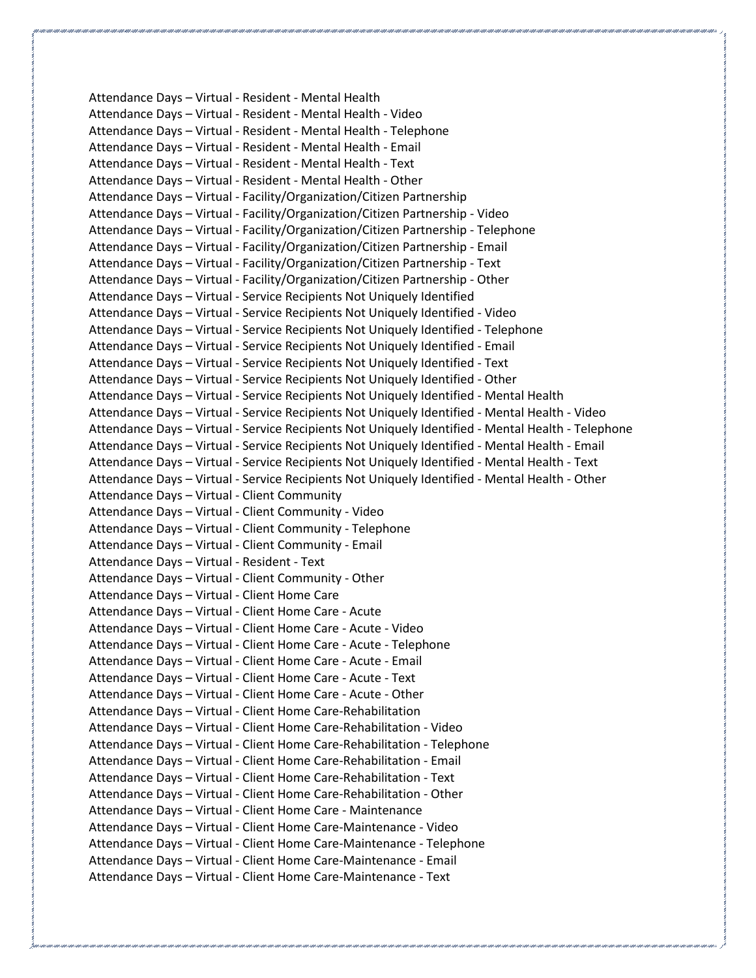Attendance Days – Virtual - Resident - Mental Health Attendance Days – Virtual - Resident - Mental Health - Video Attendance Days – Virtual - Resident - Mental Health - Telephone Attendance Days – Virtual - Resident - Mental Health - Email Attendance Days – Virtual - Resident - Mental Health - Text Attendance Days – Virtual - Resident - Mental Health - Other Attendance Days – Virtual - Facility/Organization/Citizen Partnership Attendance Days – Virtual - Facility/Organization/Citizen Partnership - Video Attendance Days – Virtual - Facility/Organization/Citizen Partnership - Telephone Attendance Days – Virtual - Facility/Organization/Citizen Partnership - Email Attendance Days – Virtual - Facility/Organization/Citizen Partnership - Text Attendance Days – Virtual - Facility/Organization/Citizen Partnership - Other Attendance Days – Virtual - Service Recipients Not Uniquely Identified Attendance Days – Virtual - Service Recipients Not Uniquely Identified - Video Attendance Days – Virtual - Service Recipients Not Uniquely Identified - Telephone Attendance Days – Virtual - Service Recipients Not Uniquely Identified - Email Attendance Days – Virtual - Service Recipients Not Uniquely Identified - Text Attendance Days – Virtual - Service Recipients Not Uniquely Identified - Other Attendance Days – Virtual - Service Recipients Not Uniquely Identified - Mental Health Attendance Days – Virtual - Service Recipients Not Uniquely Identified - Mental Health - Video Attendance Days – Virtual - Service Recipients Not Uniquely Identified - Mental Health - Telephone Attendance Days – Virtual - Service Recipients Not Uniquely Identified - Mental Health - Email Attendance Days – Virtual - Service Recipients Not Uniquely Identified - Mental Health - Text Attendance Days – Virtual - Service Recipients Not Uniquely Identified - Mental Health - Other Attendance Days – Virtual - Client Community Attendance Days – Virtual - Client Community - Video Attendance Days – Virtual - Client Community - Telephone Attendance Days – Virtual - Client Community - Email Attendance Days – Virtual - Resident - Text Attendance Days – Virtual - Client Community - Other Attendance Days – Virtual - Client Home Care Attendance Days – Virtual - Client Home Care - Acute Attendance Days – Virtual - Client Home Care - Acute - Video Attendance Days – Virtual - Client Home Care - Acute - Telephone Attendance Days – Virtual - Client Home Care - Acute - Email Attendance Days – Virtual - Client Home Care - Acute - Text Attendance Days – Virtual - Client Home Care - Acute - Other Attendance Days – Virtual - Client Home Care-Rehabilitation Attendance Days – Virtual - Client Home Care-Rehabilitation - Video Attendance Days – Virtual - Client Home Care-Rehabilitation - Telephone Attendance Days – Virtual - Client Home Care-Rehabilitation - Email Attendance Days – Virtual - Client Home Care-Rehabilitation - Text Attendance Days – Virtual - Client Home Care-Rehabilitation - Other Attendance Days – Virtual - Client Home Care - Maintenance Attendance Days – Virtual - Client Home Care-Maintenance - Video Attendance Days – Virtual - Client Home Care-Maintenance - Telephone Attendance Days – Virtual - Client Home Care-Maintenance - Email Attendance Days – Virtual - Client Home Care-Maintenance - Text